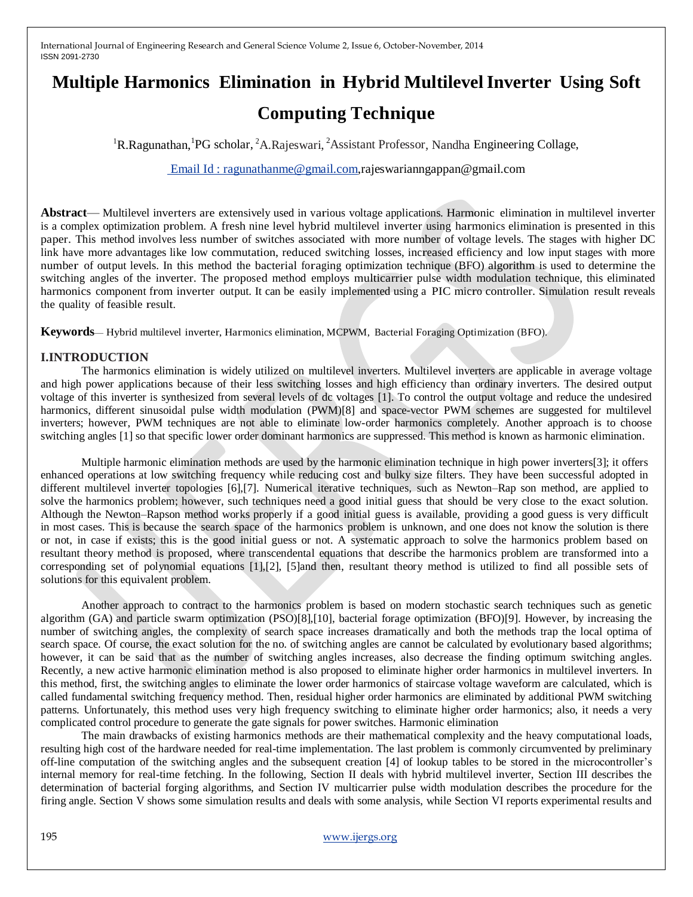# **Multiple Harmonics Elimination in Hybrid Multilevel Inverter Using Soft Computing Technique**

<sup>1</sup>R.Ragunathan, <sup>1</sup>PG scholar, <sup>2</sup>A.Rajeswari, <sup>2</sup>Assistant Professor, Nandha Engineering Collage,

[Email Id : ragunathanme@gmail.com,](mailto:%20Email%20Id%20:%20ragunathanme@gmail.com)[rajeswarianngappan@gmail.com](mailto:rajeswarianngappan@gmail.com)

**Abstract**— Multilevel inverters are extensively used in various voltage applications. Harmonic elimination in multilevel inverter is a complex optimization problem. A fresh nine level hybrid multilevel inverter using harmonics elimination is presented in this paper. This method involves less number of switches associated with more number of voltage levels. The stages with higher DC link have more advantages like low commutation, reduced switching losses, increased efficiency and low input stages with more number of output levels. In this method the bacterial foraging optimization technique (BFO) algorithm is used to determine the switching angles of the inverter. The proposed method employs multicarrier pulse width modulation technique, this eliminated harmonics component from inverter output. It can be easily implemented using a PIC micro controller. Simulation result reveals the quality of feasible result.

**Keywords**— Hybrid multilevel inverter, Harmonics elimination, MCPWM, Bacterial Foraging Optimization (BFO).

# **I.INTRODUCTION**

The harmonics elimination is widely utilized on multilevel inverters. Multilevel inverters are applicable in average voltage and high power applications because of their less switching losses and high efficiency than ordinary inverters. The desired output voltage of this inverter is synthesized from several levels of dc voltages [1]. To control the output voltage and reduce the undesired harmonics, different sinusoidal pulse width modulation (PWM)[8] and space-vector PWM schemes are suggested for multilevel inverters; however, PWM techniques are not able to eliminate low-order harmonics completely. Another approach is to choose switching angles [1] so that specific lower order dominant harmonics are suppressed. This method is known as harmonic elimination.

Multiple harmonic elimination methods are used by the harmonic elimination technique in high power inverters[3]; it offers enhanced operations at low switching frequency while reducing cost and bulky size filters. They have been successful adopted in different multilevel inverter topologies [6],[7]. Numerical iterative techniques, such as Newton–Rap son method, are applied to solve the harmonics problem; however, such techniques need a good initial guess that should be very close to the exact solution. Although the Newton–Rapson method works properly if a good initial guess is available, providing a good guess is very difficult in most cases. This is because the search space of the harmonics problem is unknown, and one does not know the solution is there or not, in case if exists; this is the good initial guess or not. A systematic approach to solve the harmonics problem based on resultant theory method is proposed, where transcendental equations that describe the harmonics problem are transformed into a corresponding set of polynomial equations [1],[2], [5]and then, resultant theory method is utilized to find all possible sets of solutions for this equivalent problem.

Another approach to contract to the harmonics problem is based on modern stochastic search techniques such as genetic algorithm (GA) and particle swarm optimization (PSO)[8],[10], bacterial forage optimization (BFO)[9]. However, by increasing the number of switching angles, the complexity of search space increases dramatically and both the methods trap the local optima of search space. Of course, the exact solution for the no. of switching angles are cannot be calculated by evolutionary based algorithms; however, it can be said that as the number of switching angles increases, also decrease the finding optimum switching angles. Recently, a new active harmonic elimination method is also proposed to eliminate higher order harmonics in multilevel inverters. In this method, first, the switching angles to eliminate the lower order harmonics of staircase voltage waveform are calculated, which is called fundamental switching frequency method. Then, residual higher order harmonics are eliminated by additional PWM switching patterns. Unfortunately, this method uses very high frequency switching to eliminate higher order harmonics; also, it needs a very complicated control procedure to generate the gate signals for power switches. Harmonic elimination

The main drawbacks of existing harmonics methods are their mathematical complexity and the heavy computational loads, resulting high cost of the hardware needed for real-time implementation. The last problem is commonly circumvented by preliminary off-line computation of the switching angles and the subsequent creation [4] of lookup tables to be stored in the microcontroller's internal memory for real-time fetching. In the following, Section II deals with hybrid multilevel inverter, Section III describes the determination of bacterial forging algorithms, and Section IV multicarrier pulse width modulation describes the procedure for the firing angle. Section V shows some simulation results and deals with some analysis, while Section VI reports experimental results and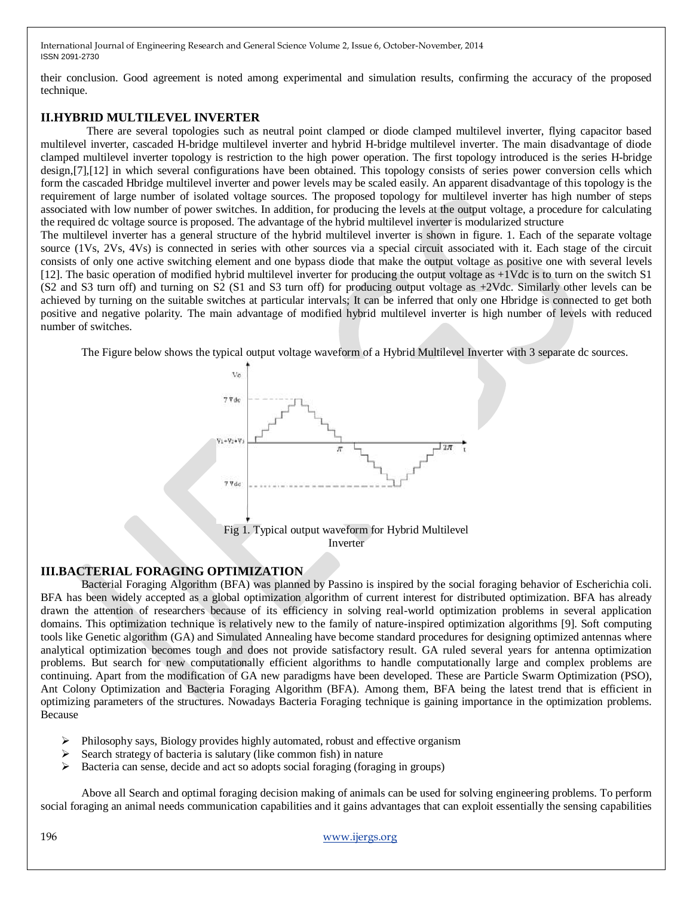their conclusion. Good agreement is noted among experimental and simulation results, confirming the accuracy of the proposed technique.

# **II.HYBRID MULTILEVEL INVERTER**

There are several topologies such as neutral point clamped or diode clamped multilevel inverter, flying capacitor based multilevel inverter, cascaded H-bridge multilevel inverter and hybrid H-bridge multilevel inverter. The main disadvantage of diode clamped multilevel inverter topology is restriction to the high power operation. The first topology introduced is the series H-bridge design,[7],[12] in which several configurations have been obtained. This topology consists of series power conversion cells which form the cascaded Hbridge multilevel inverter and power levels may be scaled easily. An apparent disadvantage of this topology is the requirement of large number of isolated voltage sources. The proposed topology for multilevel inverter has high number of steps associated with low number of power switches. In addition, for producing the levels at the output voltage, a procedure for calculating the required dc voltage source is proposed. The advantage of the hybrid multilevel inverter is modularized structure The multilevel inverter has a general structure of the hybrid multilevel inverter is shown in figure. 1. Each of the separate voltage source (1Vs, 2Vs, 4Vs) is connected in series with other sources via a special circuit associated with it. Each stage of the circuit consists of only one active switching element and one bypass diode that make the output voltage as positive one with several levels

[12]. The basic operation of modified hybrid multilevel inverter for producing the output voltage as +1Vdc is to turn on the switch S1 (S2 and S3 turn off) and turning on S2 (S1 and S3 turn off) for producing output voltage as +2Vdc. Similarly other levels can be achieved by turning on the suitable switches at particular intervals; It can be inferred that only one Hbridge is connected to get both positive and negative polarity. The main advantage of modified hybrid multilevel inverter is high number of levels with reduced number of switches.

The Figure below shows the typical output voltage waveform of a Hybrid Multilevel Inverter with 3 separate dc sources.



#### **III.BACTERIAL FORAGING OPTIMIZATION**

Bacterial Foraging Algorithm (BFA) was planned by Passino is inspired by the social foraging behavior of Escherichia coli. BFA has been widely accepted as a global optimization algorithm of current interest for distributed optimization. BFA has already drawn the attention of researchers because of its efficiency in solving real-world optimization problems in several application domains. This optimization technique is relatively new to the family of nature-inspired optimization algorithms [9]. Soft computing tools like Genetic algorithm (GA) and Simulated Annealing have become standard procedures for designing optimized antennas where analytical optimization becomes tough and does not provide satisfactory result. GA ruled several years for antenna optimization problems. But search for new computationally efficient algorithms to handle computationally large and complex problems are continuing. Apart from the modification of GA new paradigms have been developed. These are Particle Swarm Optimization (PSO), Ant Colony Optimization and Bacteria Foraging Algorithm (BFA). Among them, BFA being the latest trend that is efficient in optimizing parameters of the structures. Nowadays Bacteria Foraging technique is gaining importance in the optimization problems. Because

- Philosophy says, Biology provides highly automated, robust and effective organism
- Search strategy of bacteria is salutary (like common fish) in nature
- Bacteria can sense, decide and act so adopts social foraging (foraging in groups)

Above all Search and optimal foraging decision making of animals can be used for solving engineering problems. To perform social foraging an animal needs communication capabilities and it gains advantages that can exploit essentially the sensing capabilities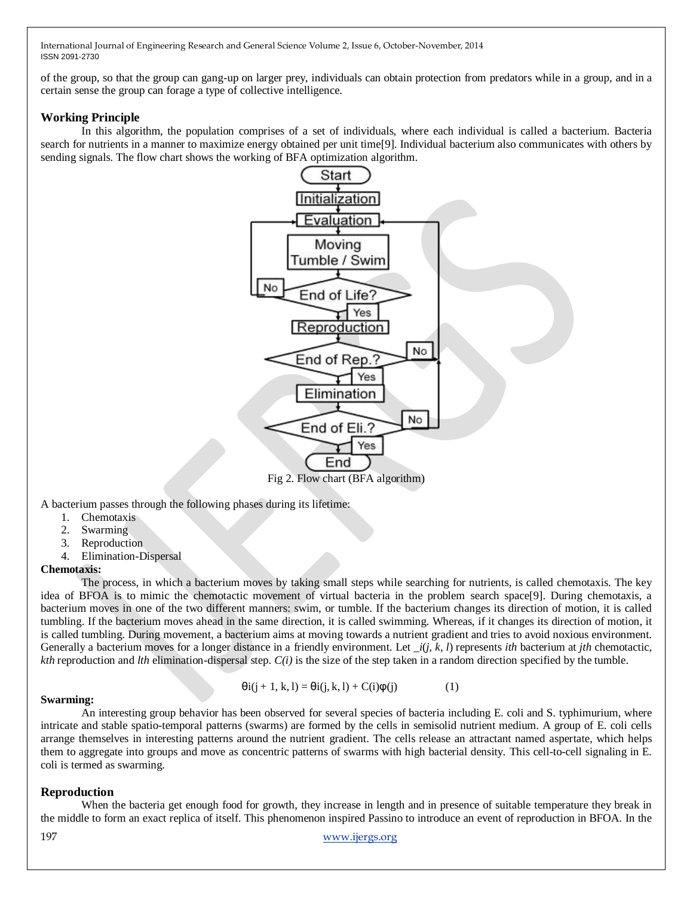of the group, so that the group can gang-up on larger prey, individuals can obtain protection from predators while in a group, and in a certain sense the group can forage a type of collective intelligence.

### **Working Principle**

In this algorithm, the population comprises of a set of individuals, where each individual is called a bacterium. Bacteria search for nutrients in a manner to maximize energy obtained per unit time[9]. Individual bacterium also communicates with others by sending signals. The flow chart shows the working of BFA optimization algorithm.



A bacterium passes through the following phases during its lifetime:

- 1. Chemotaxis
- 2. Swarming
- 3. Reproduction
- 4. Elimination-Dispersal

#### **Chemotaxis:**

The process, in which a bacterium moves by taking small steps while searching for nutrients, is called chemotaxis. The key idea of BFOA is to mimic the chemotactic movement of virtual bacteria in the problem search space[9]. During chemotaxis, a bacterium moves in one of the two different manners: swim, or tumble. If the bacterium changes its direction of motion, it is called tumbling. If the bacterium moves ahead in the same direction, it is called swimming. Whereas, if it changes its direction of motion, it is called tumbling. During movement, a bacterium aims at moving towards a nutrient gradient and tries to avoid noxious environment. Generally a bacterium moves for a longer distance in a friendly environment. Let \_*i*(*j, k, l*) represents *ith* bacterium at *jth* chemotactic, *kth* reproduction and *lth* elimination-dispersal step. *C(i)* is the size of the step taken in a random direction specified by the tumble.

$$
\Theta i(j+1, k, l) = \Theta i(j, k, l) + C(i)\phi(j)
$$
 (1)

#### **Swarming:**

An interesting group behavior has been observed for several species of bacteria including E. coli and S. typhimurium, where intricate and stable spatio-temporal patterns (swarms) are formed by the cells in semisolid nutrient medium. A group of E. coli cells arrange themselves in interesting patterns around the nutrient gradient. The cells release an attractant named aspertate, which helps them to aggregate into groups and move as concentric patterns of swarms with high bacterial density. This cell-to-cell signaling in E. coli is termed as swarming.

# **Reproduction**

When the bacteria get enough food for growth, they increase in length and in presence of suitable temperature they break in the middle to form an exact replica of itself. This phenomenon inspired Passino to introduce an event of reproduction in BFOA. In the

#### 197 [www.ijergs.org](http://www.ijergs.org/)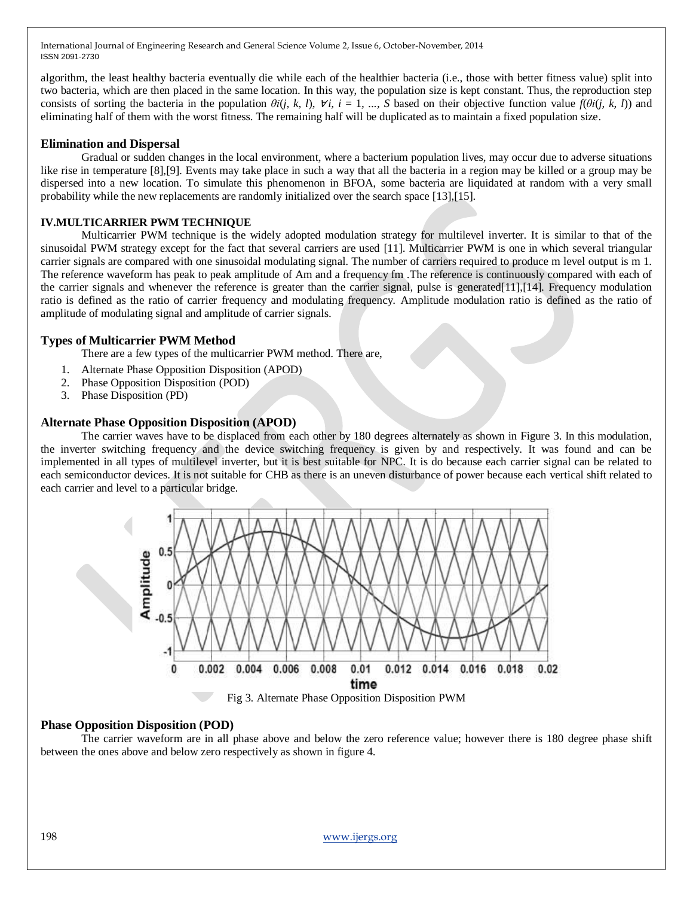algorithm, the least healthy bacteria eventually die while each of the healthier bacteria (i.e., those with better fitness value) split into two bacteria, which are then placed in the same location. In this way, the population size is kept constant. Thus, the reproduction step consists of sorting the bacteria in the population  $\theta i(j, k, l)$ ,  $\forall i$ ,  $i = 1, ..., S$  based on their objective function value  $f(\theta i(j, k, l))$  and eliminating half of them with the worst fitness. The remaining half will be duplicated as to maintain a fixed population size.

# **Elimination and Dispersal**

Gradual or sudden changes in the local environment, where a bacterium population lives, may occur due to adverse situations like rise in temperature [8],[9]. Events may take place in such a way that all the bacteria in a region may be killed or a group may be dispersed into a new location. To simulate this phenomenon in BFOA, some bacteria are liquidated at random with a very small probability while the new replacements are randomly initialized over the search space [13],[15].

#### **IV.MULTICARRIER PWM TECHNIQUE**

Multicarrier PWM technique is the widely adopted modulation strategy for multilevel inverter. It is similar to that of the sinusoidal PWM strategy except for the fact that several carriers are used [11]. Multicarrier PWM is one in which several triangular carrier signals are compared with one sinusoidal modulating signal. The number of carriers required to produce m level output is m 1. The reference waveform has peak to peak amplitude of Am and a frequency fm .The reference is continuously compared with each of the carrier signals and whenever the reference is greater than the carrier signal, pulse is generated[11],[14]. Frequency modulation ratio is defined as the ratio of carrier frequency and modulating frequency. Amplitude modulation ratio is defined as the ratio of amplitude of modulating signal and amplitude of carrier signals.

# **Types of Multicarrier PWM Method**

- There are a few types of the multicarrier PWM method. There are,
- 1. Alternate Phase Opposition Disposition (APOD)
- 2. Phase Opposition Disposition (POD)
- 3. Phase Disposition (PD)

# **Alternate Phase Opposition Disposition (APOD)**

The carrier waves have to be displaced from each other by 180 degrees alternately as shown in Figure 3. In this modulation, the inverter switching frequency and the device switching frequency is given by and respectively. It was found and can be implemented in all types of multilevel inverter, but it is best suitable for NPC. It is do because each carrier signal can be related to each semiconductor devices. It is not suitable for CHB as there is an uneven disturbance of power because each vertical shift related to each carrier and level to a particular bridge.



#### **Phase Opposition Disposition (POD)**

The carrier waveform are in all phase above and below the zero reference value; however there is 180 degree phase shift between the ones above and below zero respectively as shown in figure 4.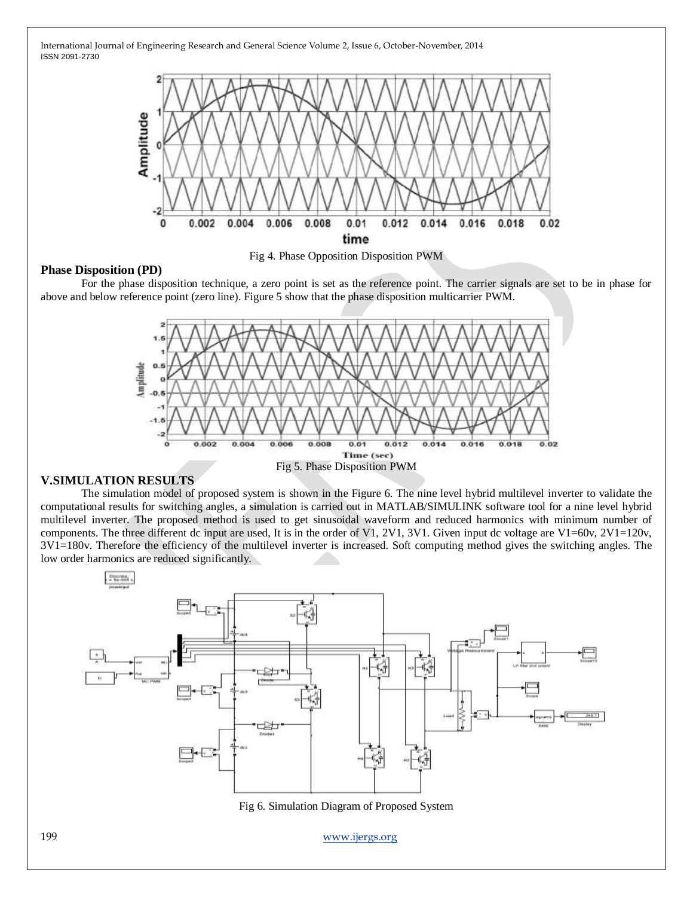



# **Phase Disposition (PD)**

For the phase disposition technique, a zero point is set as the reference point. The carrier signals are set to be in phase for above and below reference point (zero line). Figure 5 show that the phase disposition multicarrier PWM.



# **V.SIMULATION RESULTS**

The simulation model of proposed system is shown in the Figure 6. The nine level hybrid multilevel inverter to validate the computational results for switching angles, a simulation is carried out in MATLAB/SIMULINK software tool for a nine level hybrid multilevel inverter. The proposed method is used to get sinusoidal waveform and reduced harmonics with minimum number of components. The three different dc input are used, It is in the order of V1, 2V1, 3V1. Given input dc voltage are V1=60v, 2V1=120v, 3V1=180v. Therefore the efficiency of the multilevel inverter is increased. Soft computing method gives the switching angles. The low order harmonics are reduced significantly.



Fig 6. Simulation Diagram of Proposed System

199 [www.ijergs.org](http://www.ijergs.org/)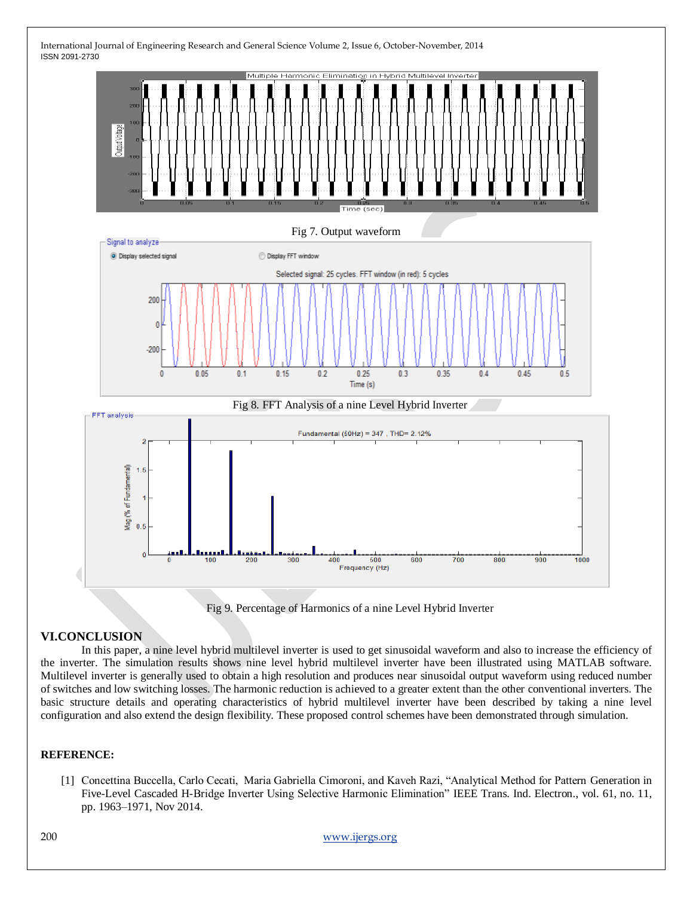



#### **VI.CONCLUSION**

In this paper, a nine level hybrid multilevel inverter is used to get sinusoidal waveform and also to increase the efficiency of the inverter. The simulation results shows nine level hybrid multilevel inverter have been illustrated using MATLAB software. Multilevel inverter is generally used to obtain a high resolution and produces near sinusoidal output waveform using reduced number of switches and low switching losses. The harmonic reduction is achieved to a greater extent than the other conventional inverters. The basic structure details and operating characteristics of hybrid multilevel inverter have been described by taking a nine level configuration and also extend the design flexibility. These proposed control schemes have been demonstrated through simulation.

#### **REFERENCE:**

[1] Concettina Buccella, Carlo Cecati, Maria Gabriella Cimoroni, and Kaveh Razi, "Analytical Method for Pattern Generation in Five-Level Cascaded H-Bridge Inverter Using Selective Harmonic Elimination" IEEE Trans. Ind. Electron., vol. 61, no. 11, pp. 1963–1971, Nov 2014.